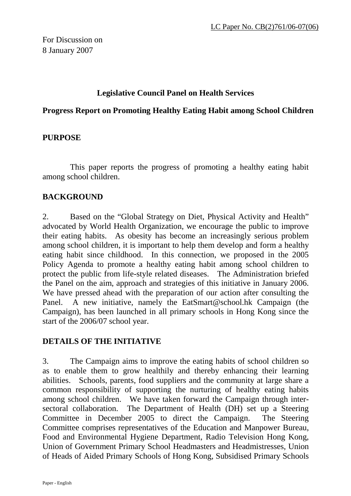# **Legislative Council Panel on Health Services**

### **Progress Report on Promoting Healthy Eating Habit among School Children**

# **PURPOSE**

This paper reports the progress of promoting a healthy eating habit among school children.

# **BACKGROUND**

2. Based on the "Global Strategy on Diet, Physical Activity and Health" advocated by World Health Organization, we encourage the public to improve their eating habits. As obesity has become an increasingly serious problem among school children, it is important to help them develop and form a healthy eating habit since childhood. In this connection, we proposed in the 2005 Policy Agenda to promote a healthy eating habit among school children to protect the public from life-style related diseases. The Administration briefed the Panel on the aim, approach and strategies of this initiative in January 2006. We have pressed ahead with the preparation of our action after consulting the Panel. A new initiative, namely the EatSmart@school.hk Campaign (the Campaign), has been launched in all primary schools in Hong Kong since the start of the 2006/07 school year.

# **DETAILS OF THE INITIATIVE**

3. The Campaign aims to improve the eating habits of school children so as to enable them to grow healthily and thereby enhancing their learning abilities. Schools, parents, food suppliers and the community at large share a common responsibility of supporting the nurturing of healthy eating habits among school children. We have taken forward the Campaign through intersectoral collaboration. The Department of Health (DH) set up a Steering Committee in December 2005 to direct the Campaign. The Steering Committee comprises representatives of the Education and Manpower Bureau, Food and Environmental Hygiene Department, Radio Television Hong Kong, Union of Government Primary School Headmasters and Headmistresses, Union of Heads of Aided Primary Schools of Hong Kong, Subsidised Primary Schools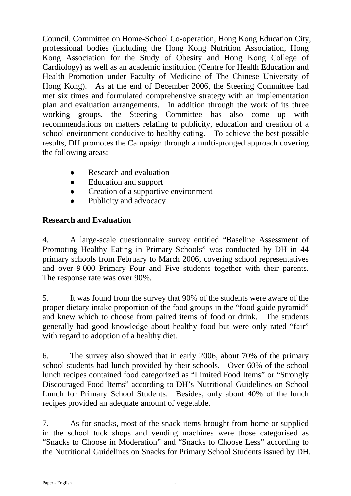Council, Committee on Home-School Co-operation, Hong Kong Education City, professional bodies (including the Hong Kong Nutrition Association, Hong Kong Association for the Study of Obesity and Hong Kong College of Cardiology) as well as an academic institution (Centre for Health Education and Health Promotion under Faculty of Medicine of The Chinese University of Hong Kong). As at the end of December 2006, the Steering Committee had met six times and formulated comprehensive strategy with an implementation plan and evaluation arrangements. In addition through the work of its three working groups, the Steering Committee has also come up with recommendations on matters relating to publicity, education and creation of a school environment conducive to healthy eating. To achieve the best possible results, DH promotes the Campaign through a multi-pronged approach covering the following areas:

- Research and evaluation
- Education and support
- Creation of a supportive environment
- Publicity and advocacy

# **Research and Evaluation**

4. A large-scale questionnaire survey entitled "Baseline Assessment of Promoting Healthy Eating in Primary Schools" was conducted by DH in 44 primary schools from February to March 2006, covering school representatives and over 9 000 Primary Four and Five students together with their parents. The response rate was over 90%.

5. It was found from the survey that 90% of the students were aware of the proper dietary intake proportion of the food groups in the "food guide pyramid" and knew which to choose from paired items of food or drink. The students generally had good knowledge about healthy food but were only rated "fair" with regard to adoption of a healthy diet.

6. The survey also showed that in early 2006, about 70% of the primary school students had lunch provided by their schools. Over 60% of the school lunch recipes contained food categorized as "Limited Food Items" or "Strongly Discouraged Food Items" according to DH's Nutritional Guidelines on School Lunch for Primary School Students. Besides, only about 40% of the lunch recipes provided an adequate amount of vegetable.

7. As for snacks, most of the snack items brought from home or supplied in the school tuck shops and vending machines were those categorised as "Snacks to Choose in Moderation" and "Snacks to Choose Less" according to the Nutritional Guidelines on Snacks for Primary School Students issued by DH.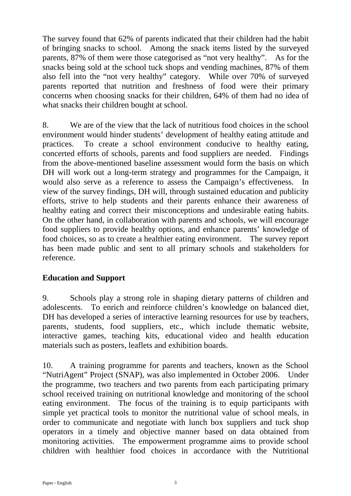The survey found that 62% of parents indicated that their children had the habit of bringing snacks to school. Among the snack items listed by the surveyed parents, 87% of them were those categorised as "not very healthy". As for the snacks being sold at the school tuck shops and vending machines, 87% of them also fell into the "not very healthy" category. While over 70% of surveyed parents reported that nutrition and freshness of food were their primary concerns when choosing snacks for their children, 64% of them had no idea of what snacks their children bought at school.

8. We are of the view that the lack of nutritious food choices in the school environment would hinder students' development of healthy eating attitude and practices. To create a school environment conducive to healthy eating, concerted efforts of schools, parents and food suppliers are needed. Findings from the above-mentioned baseline assessment would form the basis on which DH will work out a long-term strategy and programmes for the Campaign, it would also serve as a reference to assess the Campaign's effectiveness. In view of the survey findings, DH will, through sustained education and publicity efforts, strive to help students and their parents enhance their awareness of healthy eating and correct their misconceptions and undesirable eating habits. On the other hand, in collaboration with parents and schools, we will encourage food suppliers to provide healthy options, and enhance parents' knowledge of food choices, so as to create a healthier eating environment. The survey report has been made public and sent to all primary schools and stakeholders for reference.

# **Education and Support**

9. Schools play a strong role in shaping dietary patterns of children and adolescents. To enrich and reinforce children's knowledge on balanced diet, DH has developed a series of interactive learning resources for use by teachers, parents, students, food suppliers, etc., which include thematic website, interactive games, teaching kits, educational video and health education materials such as posters, leaflets and exhibition boards.

10. A training programme for parents and teachers, known as the School "NutriAgent" Project (SNAP), was also implemented in October 2006. Under the programme, two teachers and two parents from each participating primary school received training on nutritional knowledge and monitoring of the school eating environment. The focus of the training is to equip participants with simple yet practical tools to monitor the nutritional value of school meals, in order to communicate and negotiate with lunch box suppliers and tuck shop operators in a timely and objective manner based on data obtained from monitoring activities. The empowerment programme aims to provide school children with healthier food choices in accordance with the Nutritional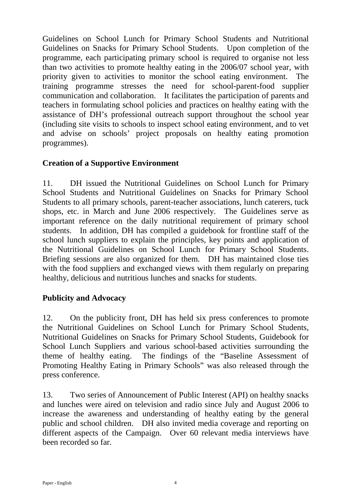Guidelines on School Lunch for Primary School Students and Nutritional Guidelines on Snacks for Primary School Students. Upon completion of the programme, each participating primary school is required to organise not less than two activities to promote healthy eating in the 2006/07 school year, with priority given to activities to monitor the school eating environment. The training programme stresses the need for school-parent-food supplier communication and collaboration. It facilitates the participation of parents and teachers in formulating school policies and practices on healthy eating with the assistance of DH's professional outreach support throughout the school year (including site visits to schools to inspect school eating environment, and to vet and advise on schools' project proposals on healthy eating promotion programmes).

# **Creation of a Supportive Environment**

11. DH issued the Nutritional Guidelines on School Lunch for Primary School Students and Nutritional Guidelines on Snacks for Primary School Students to all primary schools, parent-teacher associations, lunch caterers, tuck shops, etc. in March and June 2006 respectively. The Guidelines serve as important reference on the daily nutritional requirement of primary school students. In addition, DH has compiled a guidebook for frontline staff of the school lunch suppliers to explain the principles, key points and application of the Nutritional Guidelines on School Lunch for Primary School Students. Briefing sessions are also organized for them. DH has maintained close ties with the food suppliers and exchanged views with them regularly on preparing healthy, delicious and nutritious lunches and snacks for students.

# **Publicity and Advocacy**

12. On the publicity front, DH has held six press conferences to promote the Nutritional Guidelines on School Lunch for Primary School Students, Nutritional Guidelines on Snacks for Primary School Students, Guidebook for School Lunch Suppliers and various school-based activities surrounding the theme of healthy eating. The findings of the "Baseline Assessment of Promoting Healthy Eating in Primary Schools" was also released through the press conference.

13. Two series of Announcement of Public Interest (API) on healthy snacks and lunches were aired on television and radio since July and August 2006 to increase the awareness and understanding of healthy eating by the general public and school children. DH also invited media coverage and reporting on different aspects of the Campaign. Over 60 relevant media interviews have been recorded so far.